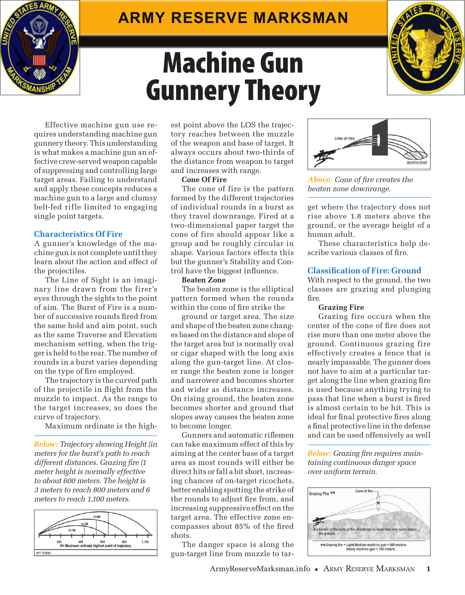# **Army Reserve Marksman**





Effective machine gun use requires understanding machine gun gunnery theory. This understanding is what makes a machine gun an effective crew-served weapon capable of suppressing and controlling large target areas. Failing to understand and apply these concepts reduces a machine gun to a large and clumsy belt-fed rifle limited to engaging single point targets.

# **Characteristics Of Fire**

Ŝ

A gunner's knowledge of the machine gun is not complete until they learn about the action and effect of the projectiles.

The Line of Sight is an imaginary line drawn from the firer's eyes through the sights to the point of aim. The Burst of Fire is a number of successive rounds fired from the same hold and aim point, such as the same Traverse and Elevation mechanism setting, when the trigger is held to the rear. The number of rounds in a burst varies depending on the type of fire employed.

The trajectory is the curved path of the projectile in flight from the muzzle to impact. As the range to the target increases, so does the curve of trajectory.

Maximum ordinate is the high-

*Below: Trajectory showing Height (in meters for the burst's path to reach different distances. Grazing fire (1 meter height is normally effective to about 600 meters. The height is 3 meters to reach 800 meters and 6 meters to reach 1,100 meters.*



est point above the LOS the trajectory reaches between the muzzle of the weapon and base of target. It always occurs about two-thirds of the distance from weapon to target and increases with range.

## **Cone Of Fire**

The cone of fire is the pattern formed by the different trajectories of individual rounds in a burst as they travel downrange. Fired at a two-dimensional paper target the cone of fire should appear like a group and be roughly circular in shape. Various factors effects this but the gunner's Stability and Control have the biggest influence.

## **Beaten Zone**

The beaten zone is the elliptical pattern formed when the rounds within the cone of fire strike the

ground or target area. The size and shape of the beaten zone changes based on the distance and slope of the target area but is normally oval or cigar shaped with the long axis along the gun-target line. At closer range the beaten zone is longer and narrower and becomes shorter and wider as distance increases. On rising ground, the beaten zone becomes shorter and ground that slopes away causes the beaten zone to become longer.

Gunners and automatic riflemen can take maximum effect of this by aiming at the center base of a target area as most rounds will either be direct hits or fall a bit short, increasing chances of on-target ricochets, better enabling spotting the strike of the rounds to adjust fire from, and increasing suppressive effect on the target area. The effective zone encompasses about 85% of the fired shots.

The danger space is along the gun-target line from muzzle to tar-



*Above: Cone of fire creates the beaten zone downrange.*

get where the trajectory does not rise above 1.8 meters above the ground, or the average height of a human adult.

These characteristics help describe various classes of fire.

## **Classification of Fire: Ground**

With respect to the ground, the two classes are grazing and plunging fire.

## **Grazing Fire**

Grazing fire occurs when the center of the cone of fire does not rise more than one meter above the ground. Continuous grazing fire effectively creates a fence that is nearly impassable. The gunner does not have to aim at a particular target along the line when grazing fire is used because anything trying to pass that line when a burst is fired is almost certain to be hit. This is ideal for final protective fires along a final protective line in the defense and can be used offensively as well

*Below: Grazing fire requires maintaining continuous danger space over uniform terrain.*

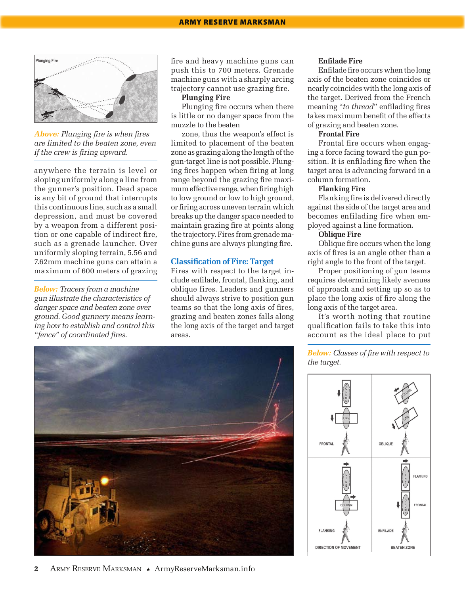

*Above: Plunging fire is when fires are limited to the beaten zone, even if the crew is firing upward.*

anywhere the terrain is level or sloping uniformly along a line from the gunner's position. Dead space is any bit of ground that interrupts this continuous line, such as a small depression, and must be covered by a weapon from a different position or one capable of indirect fire, such as a grenade launcher. Over uniformly sloping terrain, 5.56 and 7.62mm machine guns can attain a maximum of 600 meters of grazing

*Below: Tracers from a machine gun illustrate the characteristics of danger space and beaten zone over ground. Good gunnery means learning how to establish and control this "fence" of coordinated fires.*

fire and heavy machine guns can push this to 700 meters. Grenade machine guns with a sharply arcing trajectory cannot use grazing fire.

**Plunging Fire**

Plunging fire occurs when there is little or no danger space from the muzzle to the beaten

zone, thus the weapon's effect is limited to placement of the beaten zone as grazing along the length of the gun-target line is not possible. Plunging fires happen when firing at long range beyond the grazing fire maximum effective range, when firing high to low ground or low to high ground, or firing across uneven terrain which breaks up the danger space needed to maintain grazing fire at points along the trajectory. Fires from grenade machine guns are always plunging fire.

#### **Classification of Fire: Target**

Fires with respect to the target include enfilade, frontal, flanking, and oblique fires. Leaders and gunners should always strive to position gun teams so that the long axis of fires, grazing and beaten zones falls along the long axis of the target and target areas.



Enfilade fire occurs when the long axis of the beaten zone coincides or nearly coincides with the long axis of the target. Derived from the French meaning "*to thread*" enfilading fires takes maximum benefit of the effects of grazing and beaten zone.

## **Frontal Fire**

Frontal fire occurs when engaging a force facing toward the gun position. It is enfilading fire when the target area is advancing forward in a column formation.

### **Flanking Fire**

Flanking fire is delivered directly against the side of the target area and becomes enfilading fire when employed against a line formation.

## **Oblique Fire**

Oblique fire occurs when the long axis of fires is an angle other than a right angle to the front of the target.

Proper positioning of gun teams requires determining likely avenues of approach and setting up so as to place the long axis of fire along the long axis of the target area.

It's worth noting that routine qualification fails to take this into account as the ideal place to put

*Below: Classes of fire with respect to the target.*



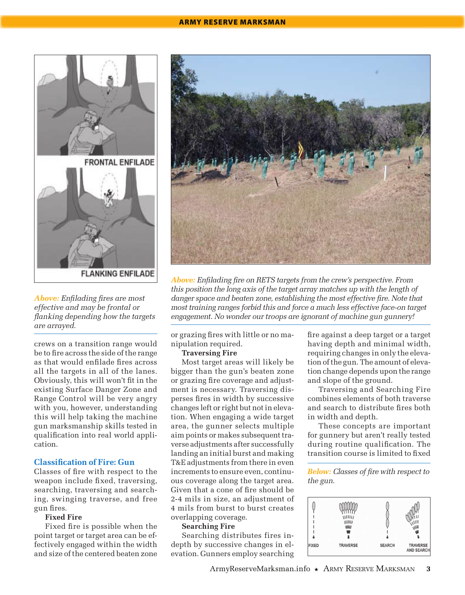#### Army Reserve Marksman



*Above: Enfilading fires are most effective and may be frontal or flanking depending how the targets are arrayed.*

crews on a transition range would be to fire across the side of the range as that would enfilade fires across all the targets in all of the lanes. Obviously, this will won't fit in the existing Surface Danger Zone and Range Control will be very angry with you, however, understanding this will help taking the machine gun marksmanship skills tested in qualification into real world application.

## **Classification of Fire: Gun**

Classes of fire with respect to the weapon include fixed, traversing, searching, traversing and searching, swinging traverse, and free gun fires.

#### **Fixed Fire**

Fixed fire is possible when the point target or target area can be effectively engaged within the width and size of the centered beaten zone



*Above: Enfilading fire on RETS targets from the crew's perspective. From this position the long axis of the target array matches up with the length of danger space and beaten zone, establishing the most effective fire. Note that most training ranges forbid this and force a much less effective face-on target engagement. No wonder our troops are ignorant of machine gun gunnery!*

or grazing fires with little or no manipulation required.

#### **Traversing Fire**

Most target areas will likely be bigger than the gun's beaten zone or grazing fire coverage and adjustment is necessary. Traversing disperses fires in width by successive changes left or right but not in elevation. When engaging a wide target area, the gunner selects multiple aim points or makes subsequent traverse adjustments after successfully landing an initial burst and making T&E adjustments from there in even increments to ensure even, continuous coverage along the target area. Given that a cone of fire should be 2-4 mils in size, an adjustment of 4 mils from burst to burst creates overlapping coverage.

## **Searching Fire**

Searching distributes fires indepth by successive changes in elevation. Gunners employ searching

fire against a deep target or a target having depth and minimal width, requiring changes in only the elevation of the gun. The amount of elevation change depends upon the range and slope of the ground.

Traversing and Searching Fire combines elements of both traverse and search to distribute fires both in width and depth.

These concepts are important for gunnery but aren't really tested during routine qualification. The transition course is limited to fixed

*Below: Classes of fire with respect to the gun.*